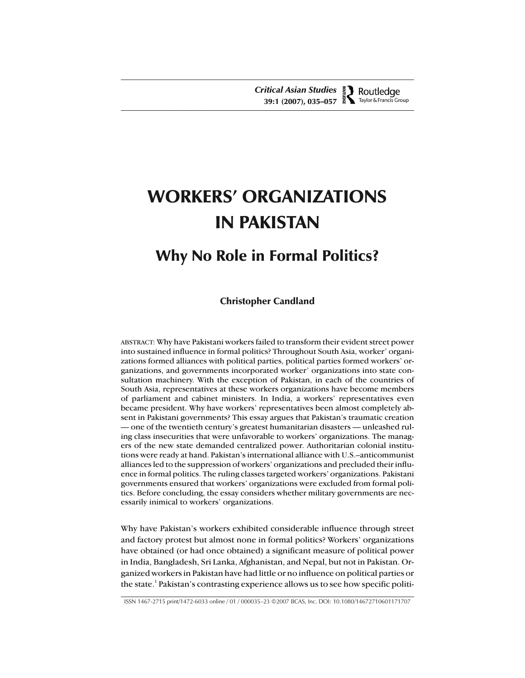# WORKERS' ORGANIZATIONS IN PAKISTAN

Candland / Workers' Organizations in Pakistan

# Why No Role in Formal Politics?

# Christopher Candland

ABSTRACT: Why have Pakistani workers failed to transform their evident street power into sustained influence in formal politics? Throughout South Asia, worker' organizations formed alliances with political parties, political parties formed workers' organizations, and governments incorporated worker' organizations into state consultation machinery. With the exception of Pakistan, in each of the countries of South Asia, representatives at these workers organizations have become members of parliament and cabinet ministers. In India, a workers' representatives even became president. Why have workers' representatives been almost completely absent in Pakistani governments? This essay argues that Pakistan's traumatic creation — one of the twentieth century's greatest humanitarian disasters — unleashed ruling class insecurities that were unfavorable to workers' organizations. The managers of the new state demanded centralized power. Authoritarian colonial institutions were ready at hand. Pakistan's international alliance with U.S.–anticommunist alliances led to the suppression of workers' organizations and precluded their influence in formal politics. The ruling classes targeted workers' organizations. Pakistani governments ensured that workers' organizations were excluded from formal politics. Before concluding, the essay considers whether military governments are necessarily inimical to workers' organizations.

Why have Pakistan's workers exhibited considerable influence through street and factory protest but almost none in formal politics? Workers' organizations have obtained (or had once obtained) a significant measure of political power in India, Bangladesh, Sri Lanka, Afghanistan, and Nepal, but not in Pakistan. Organized workers in Pakistan have had little or no influence on political parties or the state.<sup>1</sup> Pakistan's contrasting experience allows us to see how specific politi-

ISSN 1467-2715 print/1472-6033 online / 01 / 000035–23 ©2007 BCAS, Inc. DOI: 10.1080/14672710601171707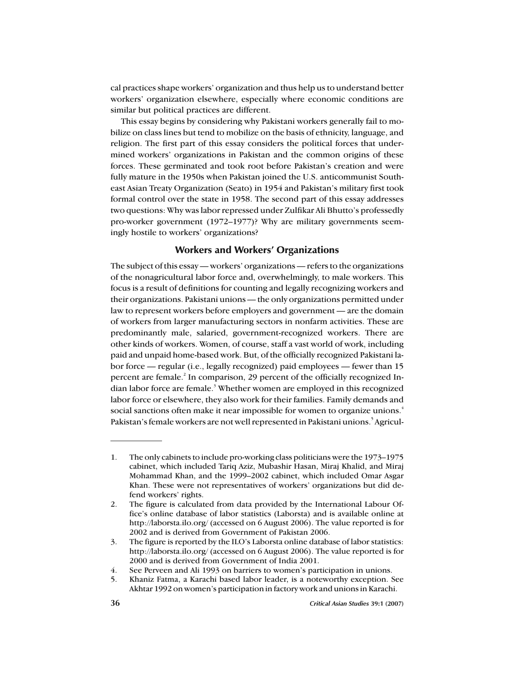cal practices shape workers' organization and thus help us to understand better workers' organization elsewhere, especially where economic conditions are similar but political practices are different.

This essay begins by considering why Pakistani workers generally fail to mobilize on class lines but tend to mobilize on the basis of ethnicity, language, and religion. The first part of this essay considers the political forces that undermined workers' organizations in Pakistan and the common origins of these forces. These germinated and took root before Pakistan's creation and were fully mature in the 1950s when Pakistan joined the U.S. anticommunist Southeast Asian Treaty Organization (Seato) in 1954 and Pakistan's military first took formal control over the state in 1958. The second part of this essay addresses two questions: Why was labor repressed under Zulfikar Ali Bhutto's professedly pro-worker government (1972–1977)? Why are military governments seemingly hostile to workers' organizations?

### Workers and Workers' Organizations

The subject of this essay — workers' organizations — refers to the organizations of the nonagricultural labor force and, overwhelmingly, to male workers. This focus is a result of definitions for counting and legally recognizing workers and their organizations. Pakistani unions — the only organizations permitted under law to represent workers before employers and government — are the domain of workers from larger manufacturing sectors in nonfarm activities. These are predominantly male, salaried, government-recognized workers. There are other kinds of workers. Women, of course, staff a vast world of work, including paid and unpaid home-based work. But, of the officially recognized Pakistani labor force — regular (i.e., legally recognized) paid employees — fewer than 15 percent are female.<sup>2</sup> In comparison, 29 percent of the officially recognized Indian labor force are female.<sup>3</sup> Whether women are employed in this recognized labor force or elsewhere, they also work for their families. Family demands and social sanctions often make it near impossible for women to organize unions.<sup>4</sup> Pakistan's female workers are not well represented in Pakistani unions.<sup>5</sup> Agricul-

<sup>1.</sup> The only cabinets to include pro-working class politicians were the 1973–1975 cabinet, which included Tariq Aziz, Mubashir Hasan, Miraj Khalid, and Miraj Mohammad Khan, and the 1999–2002 cabinet, which included Omar Asgar Khan. These were not representatives of workers' organizations but did defend workers' rights.

<sup>2.</sup> The figure is calculated from data provided by the International Labour Office's online database of labor statistics (Laborsta) and is available online at http://laborsta.ilo.org/ (accessed on 6 August 2006). The value reported is for 2002 and is derived from Government of Pakistan 2006.

<sup>3.</sup> The figure is reported by the ILO's Laborsta online database of labor statistics: http://laborsta.ilo.org/ (accessed on 6 August 2006). The value reported is for 2000 and is derived from Government of India 2001.

<sup>4.</sup> See Perveen and Ali 1993 on barriers to women's participation in unions.

<sup>5.</sup> Khaniz Fatma, a Karachi based labor leader, is a noteworthy exception. See Akhtar 1992 on women's participation in factory work and unions in Karachi.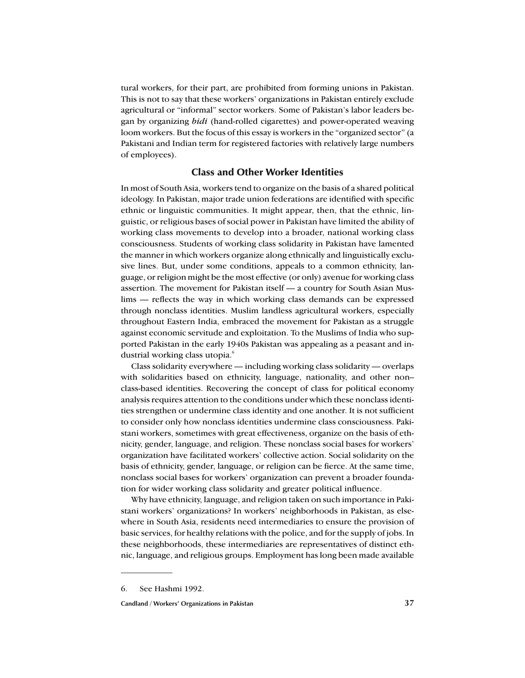tural workers, for their part, are prohibited from forming unions in Pakistan. This is not to say that these workers' organizations in Pakistan entirely exclude agricultural or "informal" sector workers. Some of Pakistan's labor leaders began by organizing *bidi* (hand-rolled cigarettes) and power-operated weaving loom workers. But the focus of this essay is workers in the "organized sector" (a Pakistani and Indian term for registered factories with relatively large numbers of employees).

# Class and Other Worker Identities

In most of South Asia, workers tend to organize on the basis of a shared political ideology. In Pakistan, major trade union federations are identified with specific ethnic or linguistic communities. It might appear, then, that the ethnic, linguistic, or religious bases of social power in Pakistan have limited the ability of working class movements to develop into a broader, national working class consciousness. Students of working class solidarity in Pakistan have lamented the manner in which workers organize along ethnically and linguistically exclusive lines. But, under some conditions, appeals to a common ethnicity, language, or religion might be the most effective (or only) avenue for working class assertion. The movement for Pakistan itself — a country for South Asian Muslims — reflects the way in which working class demands can be expressed through nonclass identities. Muslim landless agricultural workers, especially throughout Eastern India, embraced the movement for Pakistan as a struggle against economic servitude and exploitation. To the Muslims of India who supported Pakistan in the early 1940s Pakistan was appealing as a peasant and industrial working class utopia.<sup>6</sup>

Class solidarity everywhere — including working class solidarity — overlaps with solidarities based on ethnicity, language, nationality, and other non– class-based identities. Recovering the concept of class for political economy analysis requires attention to the conditions under which these nonclass identities strengthen or undermine class identity and one another. It is not sufficient to consider only how nonclass identities undermine class consciousness. Pakistani workers, sometimes with great effectiveness, organize on the basis of ethnicity, gender, language, and religion. These nonclass social bases for workers' organization have facilitated workers' collective action. Social solidarity on the basis of ethnicity, gender, language, or religion can be fierce. At the same time, nonclass social bases for workers' organization can prevent a broader foundation for wider working class solidarity and greater political influence.

Why have ethnicity, language, and religion taken on such importance in Pakistani workers' organizations? In workers' neighborhoods in Pakistan, as elsewhere in South Asia, residents need intermediaries to ensure the provision of basic services, for healthy relations with the police, and for the supply of jobs. In these neighborhoods, these intermediaries are representatives of distinct ethnic, language, and religious groups. Employment has long been made available

**Candland / Workers' Organizations in Pakistan 37**

<sup>6.</sup> See Hashmi 1992.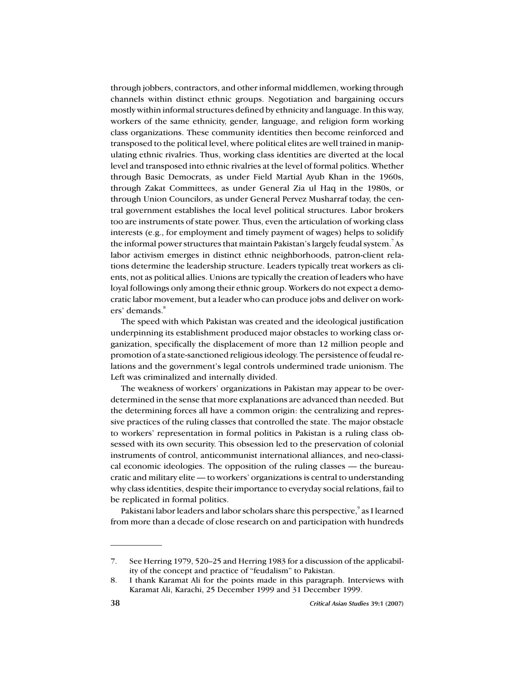through jobbers, contractors, and other informal middlemen, working through channels within distinct ethnic groups. Negotiation and bargaining occurs mostly within informal structures defined by ethnicity and language. In this way, workers of the same ethnicity, gender, language, and religion form working class organizations. These community identities then become reinforced and transposed to the political level, where political elites are well trained in manipulating ethnic rivalries. Thus, working class identities are diverted at the local level and transposed into ethnic rivalries at the level of formal politics. Whether through Basic Democrats, as under Field Martial Ayub Khan in the 1960s, through Zakat Committees, as under General Zia ul Haq in the 1980s, or through Union Councilors, as under General Pervez Musharraf today, the central government establishes the local level political structures. Labor brokers too are instruments of state power. Thus, even the articulation of working class interests (e.g., for employment and timely payment of wages) helps to solidify the informal power structures that maintain Pakistan's largely feudal system.<sup>7</sup> As labor activism emerges in distinct ethnic neighborhoods, patron-client relations determine the leadership structure. Leaders typically treat workers as clients, not as political allies. Unions are typically the creation of leaders who have loyal followings only among their ethnic group. Workers do not expect a democratic labor movement, but a leader who can produce jobs and deliver on workers' demands.<sup>8</sup>

The speed with which Pakistan was created and the ideological justification underpinning its establishment produced major obstacles to working class organization, specifically the displacement of more than 12 million people and promotion of a state-sanctioned religious ideology. The persistence of feudal relations and the government's legal controls undermined trade unionism. The Left was criminalized and internally divided.

The weakness of workers' organizations in Pakistan may appear to be overdetermined in the sense that more explanations are advanced than needed. But the determining forces all have a common origin: the centralizing and repressive practices of the ruling classes that controlled the state. The major obstacle to workers' representation in formal politics in Pakistan is a ruling class obsessed with its own security. This obsession led to the preservation of colonial instruments of control, anticommunist international alliances, and neo-classical economic ideologies. The opposition of the ruling classes — the bureaucratic and military elite — to workers' organizations is central to understanding why class identities, despite their importance to everyday social relations, fail to be replicated in formal politics.

Pakistani labor leaders and labor scholars share this perspective, $^{\circ}$  as I learned from more than a decade of close research on and participation with hundreds

<sup>7.</sup> See Herring 1979, 520–25 and Herring 1983 for a discussion of the applicability of the concept and practice of "feudalism" to Pakistan.

<sup>8.</sup> I thank Karamat Ali for the points made in this paragraph. Interviews with Karamat Ali, Karachi, 25 December 1999 and 31 December 1999.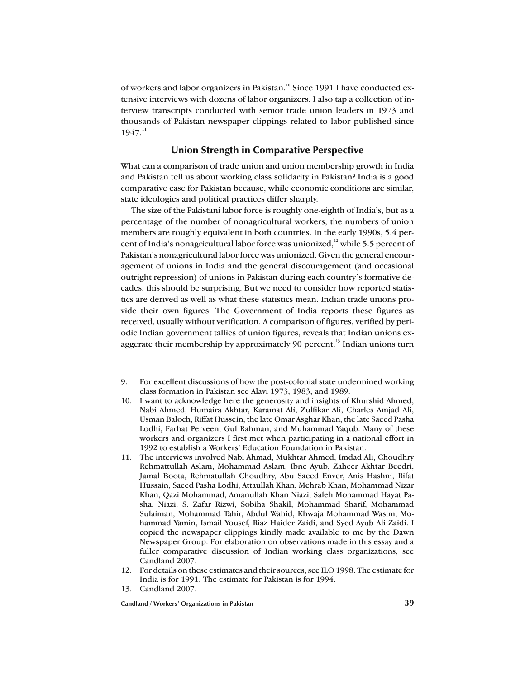of workers and labor organizers in Pakistan.<sup>10</sup> Since 1991 I have conducted extensive interviews with dozens of labor organizers. I also tap a collection of interview transcripts conducted with senior trade union leaders in 1973 and thousands of Pakistan newspaper clippings related to labor published since 1947.11

# Union Strength in Comparative Perspective

What can a comparison of trade union and union membership growth in India and Pakistan tell us about working class solidarity in Pakistan? India is a good comparative case for Pakistan because, while economic conditions are similar, state ideologies and political practices differ sharply.

The size of the Pakistani labor force is roughly one-eighth of India's, but as a percentage of the number of nonagricultural workers, the numbers of union members are roughly equivalent in both countries. In the early 1990s, 5.4 percent of India's nonagricultural labor force was unionized, $12$  while 5.5 percent of Pakistan's nonagricultural labor force was unionized. Given the general encouragement of unions in India and the general discouragement (and occasional outright repression) of unions in Pakistan during each country's formative decades, this should be surprising. But we need to consider how reported statistics are derived as well as what these statistics mean. Indian trade unions provide their own figures. The Government of India reports these figures as received, usually without verification. A comparison of figures, verified by periodic Indian government tallies of union figures, reveals that Indian unions exaggerate their membership by approximately 90 percent.<sup>13</sup> Indian unions turn

13. Candland 2007.

<sup>9.</sup> For excellent discussions of how the post-colonial state undermined working class formation in Pakistan see Alavi 1973, 1983, and 1989.

<sup>10.</sup> I want to acknowledge here the generosity and insights of Khurshid Ahmed, Nabi Ahmed, Humaira Akhtar, Karamat Ali, Zulfikar Ali, Charles Amjad Ali, Usman Baloch, Riffat Hussein, the late Omar Asghar Khan, the late Saeed Pasha Lodhi, Farhat Perveen, Gul Rahman, and Muhammad Yaqub. Many of these workers and organizers I first met when participating in a national effort in 1992 to establish a Workers' Education Foundation in Pakistan.

<sup>11.</sup> The interviews involved Nabi Ahmad, Mukhtar Ahmed, Imdad Ali, Choudhry Rehmattullah Aslam, Mohammad Aslam, Ibne Ayub, Zaheer Akhtar Beedri, Jamal Boota, Rehmatullah Choudhry, Abu Saeed Enver, Anis Hashni, Rifat Hussain, Saeed Pasha Lodhi, Attaullah Khan, Mehrab Khan, Mohammad Nizar Khan, Qazi Mohammad, Amanullah Khan Niazi, Saleh Mohammad Hayat Pasha, Niazi, S. Zafar Rizwi, Sobiha Shakil, Mohammad Sharif, Mohammad Sulaiman, Mohammad Tahir, Abdul Wahid, Khwaja Mohammad Wasim, Mohammad Yamin, Ismail Yousef, Riaz Haider Zaidi, and Syed Ayub Ali Zaidi. I copied the newspaper clippings kindly made available to me by the Dawn Newspaper Group. For elaboration on observations made in this essay and a fuller comparative discussion of Indian working class organizations, see Candland 2007.

<sup>12.</sup> For details on these estimates and their sources, see ILO 1998. The estimate for India is for 1991. The estimate for Pakistan is for 1994.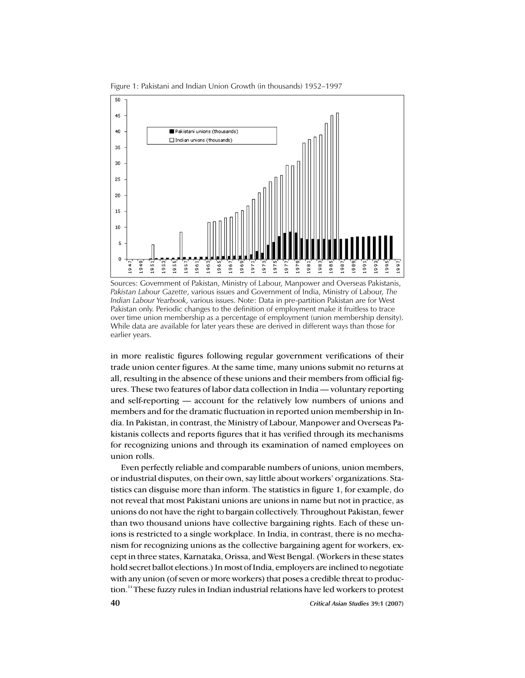

Figure 1: Pakistani and Indian Union Growth (in thousands) 1952–1997

Sources: Government of Pakistan, Ministry of Labour, Manpower and Overseas Pakistanis, *Pakistan Labour Gazette*, various issues and Government of India, Ministry of Labour, *The Indian Labour Yearbook*, various issues. Note: Data in pre-partition Pakistan are for West Pakistan only. Periodic changes to the definition of employment make it fruitless to trace over time union membership as a percentage of employment (union membership density). While data are available for later years these are derived in different ways than those for earlier years.

in more realistic figures following regular government verifications of their trade union center figures. At the same time, many unions submit no returns at all, resulting in the absence of these unions and their members from official figures. These two features of labor data collection in India — voluntary reporting and self-reporting — account for the relatively low numbers of unions and members and for the dramatic fluctuation in reported union membership in India. In Pakistan, in contrast, the Ministry of Labour, Manpower and Overseas Pakistanis collects and reports figures that it has verified through its mechanisms for recognizing unions and through its examination of named employees on union rolls.

Even perfectly reliable and comparable numbers of unions, union members, or industrial disputes, on their own, say little about workers' organizations. Statistics can disguise more than inform. The statistics in figure 1, for example, do not reveal that most Pakistani unions are unions in name but not in practice, as unions do not have the right to bargain collectively. Throughout Pakistan, fewer than two thousand unions have collective bargaining rights. Each of these unions is restricted to a single workplace. In India, in contrast, there is no mechanism for recognizing unions as the collective bargaining agent for workers, except in three states, Karnataka, Orissa, and West Bengal. (Workers in these states hold secret ballot elections.) In most of India, employers are inclined to negotiate with any union (of seven or more workers) that poses a credible threat to production.<sup>14</sup>These fuzzy rules in Indian industrial relations have led workers to protest

**40** *Critical Asian Studies* **39:1 (2007)**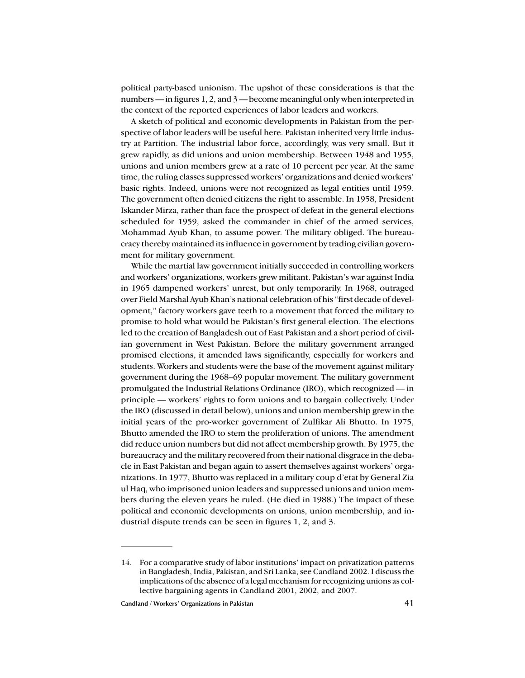political party-based unionism. The upshot of these considerations is that the numbers — in figures 1, 2, and 3 — become meaningful only when interpreted in the context of the reported experiences of labor leaders and workers.

A sketch of political and economic developments in Pakistan from the perspective of labor leaders will be useful here. Pakistan inherited very little industry at Partition. The industrial labor force, accordingly, was very small. But it grew rapidly, as did unions and union membership. Between 1948 and 1955, unions and union members grew at a rate of 10 percent per year. At the same time, the ruling classes suppressed workers' organizations and denied workers' basic rights. Indeed, unions were not recognized as legal entities until 1959. The government often denied citizens the right to assemble. In 1958, President Iskander Mirza, rather than face the prospect of defeat in the general elections scheduled for 1959, asked the commander in chief of the armed services, Mohammad Ayub Khan, to assume power. The military obliged. The bureaucracy thereby maintained its influence in government by trading civilian government for military government.

While the martial law government initially succeeded in controlling workers and workers' organizations, workers grew militant. Pakistan's war against India in 1965 dampened workers' unrest, but only temporarily. In 1968, outraged over Field Marshal Ayub Khan's national celebration of his "first decade of development," factory workers gave teeth to a movement that forced the military to promise to hold what would be Pakistan's first general election. The elections led to the creation of Bangladesh out of East Pakistan and a short period of civilian government in West Pakistan. Before the military government arranged promised elections, it amended laws significantly, especially for workers and students. Workers and students were the base of the movement against military government during the 1968–69 popular movement. The military government promulgated the Industrial Relations Ordinance (IRO), which recognized — in principle — workers' rights to form unions and to bargain collectively. Under the IRO (discussed in detail below), unions and union membership grew in the initial years of the pro-worker government of Zulfikar Ali Bhutto. In 1975, Bhutto amended the IRO to stem the proliferation of unions. The amendment did reduce union numbers but did not affect membership growth. By 1975, the bureaucracy and the military recovered from their national disgrace in the debacle in East Pakistan and began again to assert themselves against workers' organizations. In 1977, Bhutto was replaced in a military coup d'etat by General Zia ul Haq, who imprisoned union leaders and suppressed unions and union members during the eleven years he ruled. (He died in 1988.) The impact of these political and economic developments on unions, union membership, and industrial dispute trends can be seen in figures 1, 2, and 3.

<sup>14.</sup> For a comparative study of labor institutions' impact on privatization patterns in Bangladesh, India, Pakistan, and Sri Lanka, see Candland 2002. I discuss the implications of the absence of a legal mechanism for recognizing unions as collective bargaining agents in Candland 2001, 2002, and 2007.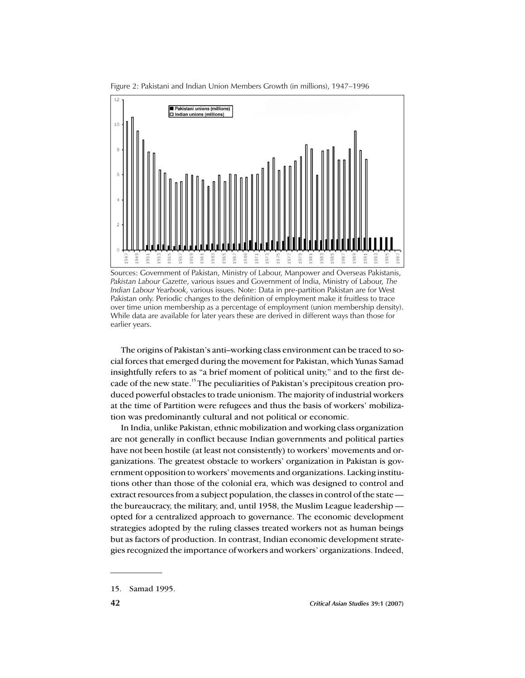

Figure 2: Pakistani and Indian Union Members Growth (in millions), 1947–1996

Sources: Government of Pakistan, Ministry of Labour, Manpower and Overseas Pakistanis, *Pakistan Labour Gazette*, various issues and Government of India, Ministry of Labour, *The Indian Labour Yearbook*, various issues. Note: Data in pre-partition Pakistan are for West Pakistan only. Periodic changes to the definition of employment make it fruitless to trace over time union membership as a percentage of employment (union membership density). While data are available for later years these are derived in different ways than those for earlier years.

The origins of Pakistan's anti–working class environment can be traced to social forces that emerged during the movement for Pakistan, which Yunas Samad insightfully refers to as "a brief moment of political unity," and to the first decade of the new state.<sup>15</sup>The peculiarities of Pakistan's precipitous creation produced powerful obstacles to trade unionism. The majority of industrial workers at the time of Partition were refugees and thus the basis of workers' mobilization was predominantly cultural and not political or economic.

In India, unlike Pakistan, ethnic mobilization and working class organization are not generally in conflict because Indian governments and political parties have not been hostile (at least not consistently) to workers' movements and organizations. The greatest obstacle to workers' organization in Pakistan is government opposition to workers' movements and organizations. Lacking institutions other than those of the colonial era, which was designed to control and extract resources from a subject population, the classes in control of the state the bureaucracy, the military, and, until 1958, the Muslim League leadership opted for a centralized approach to governance. The economic development strategies adopted by the ruling classes treated workers not as human beings but as factors of production. In contrast, Indian economic development strategies recognized the importance of workers and workers' organizations. Indeed,

<sup>15.</sup> Samad 1995.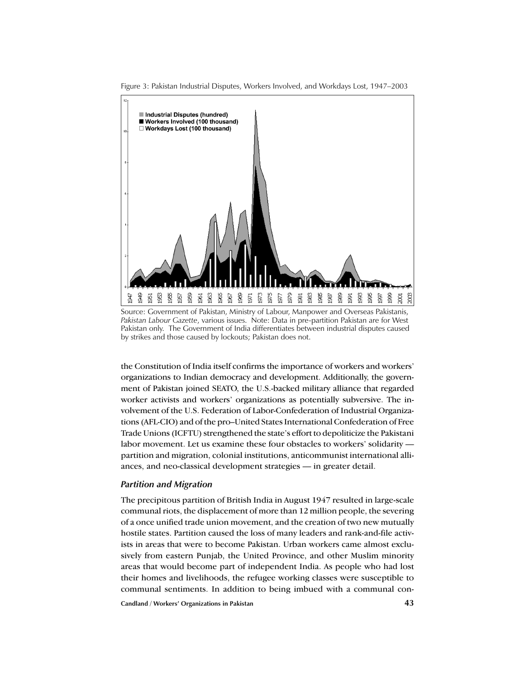

Figure 3: Pakistan Industrial Disputes, Workers Involved, and Workdays Lost, 1947–2003

Source: Government of Pakistan, Ministry of Labour, Manpower and Overseas Pakistanis, *Pakistan Labour Gazette*, various issues. Note: Data in pre-partition Pakistan are for West Pakistan only. The Government of India differentiates between industrial disputes caused by strikes and those caused by lockouts; Pakistan does not.

the Constitution of India itself confirms the importance of workers and workers' organizations to Indian democracy and development. Additionally, the government of Pakistan joined SEATO, the U.S.-backed military alliance that regarded worker activists and workers' organizations as potentially subversive. The involvement of the U.S. Federation of Labor-Confederation of Industrial Organizations (AFL-CIO) and of the pro–United States International Confederation of Free Trade Unions (ICFTU) strengthened the state's effort to depoliticize the Pakistani labor movement. Let us examine these four obstacles to workers' solidarity partition and migration, colonial institutions, anticommunist international alliances, and neo-classical development strategies — in greater detail.

#### *Partition and Migration*

The precipitous partition of British India in August 1947 resulted in large-scale communal riots, the displacement of more than 12 million people, the severing of a once unified trade union movement, and the creation of two new mutually hostile states. Partition caused the loss of many leaders and rank-and-file activists in areas that were to become Pakistan. Urban workers came almost exclusively from eastern Punjab, the United Province, and other Muslim minority areas that would become part of independent India. As people who had lost their homes and livelihoods, the refugee working classes were susceptible to communal sentiments. In addition to being imbued with a communal con-

**Candland / Workers' Organizations in Pakistan 43**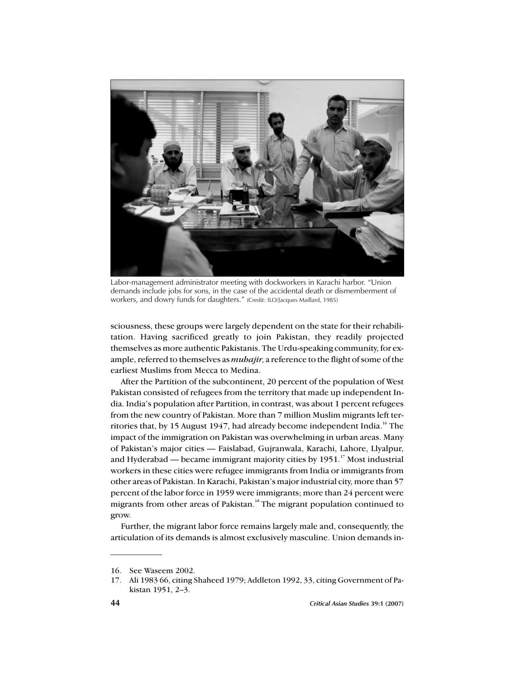

Labor-management administrator meeting with dockworkers in Karachi harbor. "Union demands include jobs for sons, in the case of the accidental death or dismemberment of workers, and dowry funds for daughters." (Credit: ILO/Jacques Maillard, 1985)

sciousness, these groups were largely dependent on the state for their rehabilitation. Having sacrificed greatly to join Pakistan, they readily projected themselves as more authentic Pakistanis. The Urdu-speaking community, for example, referred to themselves as *muhajir*, a reference to the flight of some of the earliest Muslims from Mecca to Medina.

After the Partition of the subcontinent, 20 percent of the population of West Pakistan consisted of refugees from the territory that made up independent India. India's population after Partition, in contrast, was about 1 percent refugees from the new country of Pakistan. More than 7 million Muslim migrants left territories that, by 15 August 1947, had already become independent India.<sup>16</sup> The impact of the immigration on Pakistan was overwhelming in urban areas. Many of Pakistan's major cities — Faislabad, Gujranwala, Karachi, Lahore, Llyalpur, and Hyderabad — became immigrant majority cities by  $1951$ .<sup>17</sup> Most industrial workers in these cities were refugee immigrants from India or immigrants from other areas of Pakistan. In Karachi, Pakistan's major industrial city, more than 57 percent of the labor force in 1959 were immigrants; more than 24 percent were migrants from other areas of Pakistan.<sup>18</sup> The migrant population continued to grow.

Further, the migrant labor force remains largely male and, consequently, the articulation of its demands is almost exclusively masculine. Union demands in-

<sup>16.</sup> See Waseem 2002.

<sup>17.</sup> Ali 1983 66, citing Shaheed 1979; Addleton 1992, 33, citing Government of Pakistan 1951, 2–3.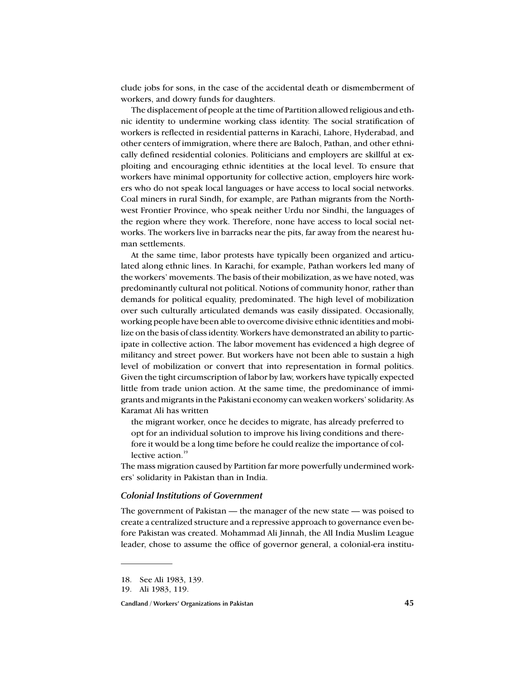clude jobs for sons, in the case of the accidental death or dismemberment of workers, and dowry funds for daughters.

The displacement of people at the time of Partition allowed religious and ethnic identity to undermine working class identity. The social stratification of workers is reflected in residential patterns in Karachi, Lahore, Hyderabad, and other centers of immigration, where there are Baloch, Pathan, and other ethnically defined residential colonies. Politicians and employers are skillful at exploiting and encouraging ethnic identities at the local level. To ensure that workers have minimal opportunity for collective action, employers hire workers who do not speak local languages or have access to local social networks. Coal miners in rural Sindh, for example, are Pathan migrants from the Northwest Frontier Province, who speak neither Urdu nor Sindhi, the languages of the region where they work. Therefore, none have access to local social networks. The workers live in barracks near the pits, far away from the nearest human settlements.

At the same time, labor protests have typically been organized and articulated along ethnic lines. In Karachi, for example, Pathan workers led many of the workers' movements. The basis of their mobilization, as we have noted, was predominantly cultural not political. Notions of community honor, rather than demands for political equality, predominated. The high level of mobilization over such culturally articulated demands was easily dissipated. Occasionally, working people have been able to overcome divisive ethnic identities and mobilize on the basis of class identity. Workers have demonstrated an ability to participate in collective action. The labor movement has evidenced a high degree of militancy and street power. But workers have not been able to sustain a high level of mobilization or convert that into representation in formal politics. Given the tight circumscription of labor by law, workers have typically expected little from trade union action. At the same time, the predominance of immigrants and migrants in the Pakistani economy can weaken workers' solidarity. As Karamat Ali has written

the migrant worker, once he decides to migrate, has already preferred to opt for an individual solution to improve his living conditions and therefore it would be a long time before he could realize the importance of collective action $19$ 

The mass migration caused by Partition far more powerfully undermined workers' solidarity in Pakistan than in India.

#### *Colonial Institutions of Government*

The government of Pakistan — the manager of the new state — was poised to create a centralized structure and a repressive approach to governance even before Pakistan was created. Mohammad Ali Jinnah, the All India Muslim League leader, chose to assume the office of governor general, a colonial-era institu-

<sup>18.</sup> See Ali 1983, 139.

<sup>19.</sup> Ali 1983, 119.

**Candland / Workers' Organizations in Pakistan 45**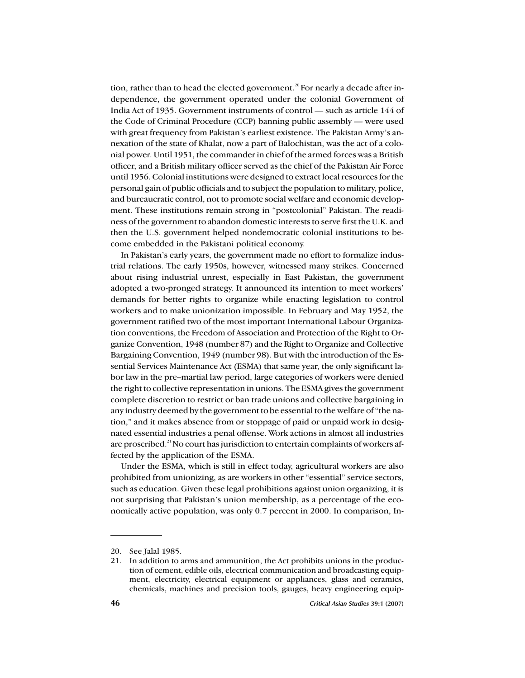tion, rather than to head the elected government.<sup>20</sup> For nearly a decade after independence, the government operated under the colonial Government of India Act of 1935. Government instruments of control — such as article 144 of the Code of Criminal Procedure (CCP) banning public assembly — were used with great frequency from Pakistan's earliest existence. The Pakistan Army's annexation of the state of Khalat, now a part of Balochistan, was the act of a colonial power. Until 1951, the commander in chief of the armed forces was a British officer, and a British military officer served as the chief of the Pakistan Air Force until 1956. Colonial institutions were designed to extract local resources for the personal gain of public officials and to subject the population to military, police, and bureaucratic control, not to promote social welfare and economic development. These institutions remain strong in "postcolonial" Pakistan. The readiness of the government to abandon domestic interests to serve first the U.K. and then the U.S. government helped nondemocratic colonial institutions to become embedded in the Pakistani political economy.

In Pakistan's early years, the government made no effort to formalize industrial relations. The early 1950s, however, witnessed many strikes. Concerned about rising industrial unrest, especially in East Pakistan, the government adopted a two-pronged strategy. It announced its intention to meet workers' demands for better rights to organize while enacting legislation to control workers and to make unionization impossible. In February and May 1952, the government ratified two of the most important International Labour Organization conventions, the Freedom of Association and Protection of the Right to Organize Convention, 1948 (number 87) and the Right to Organize and Collective Bargaining Convention, 1949 (number 98). But with the introduction of the Essential Services Maintenance Act (ESMA) that same year, the only significant labor law in the pre–martial law period, large categories of workers were denied the right to collective representation in unions. The ESMA gives the government complete discretion to restrict or ban trade unions and collective bargaining in any industry deemed by the government to be essential to the welfare of "the nation," and it makes absence from or stoppage of paid or unpaid work in designated essential industries a penal offense. Work actions in almost all industries are proscribed.<sup>21</sup>No court has jurisdiction to entertain complaints of workers affected by the application of the ESMA.

Under the ESMA, which is still in effect today, agricultural workers are also prohibited from unionizing, as are workers in other "essential" service sectors, such as education. Given these legal prohibitions against union organizing, it is not surprising that Pakistan's union membership, as a percentage of the economically active population, was only 0.7 percent in 2000. In comparison, In-

<sup>20.</sup> See Jalal 1985.

<sup>21.</sup> In addition to arms and ammunition, the Act prohibits unions in the production of cement, edible oils, electrical communication and broadcasting equipment, electricity, electrical equipment or appliances, glass and ceramics, chemicals, machines and precision tools, gauges, heavy engineering equip-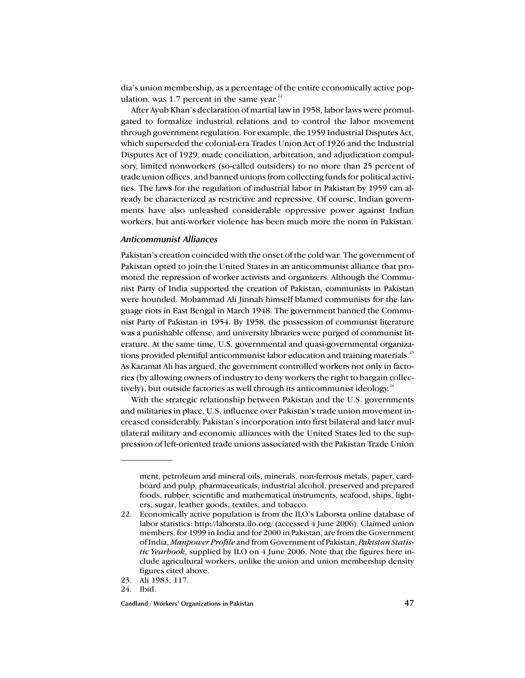dia's union membership, as a percentage of the entire economically active population, was 1.7 percent in the same year. $^{22}$ 

After Ayub Khan's declaration of martial law in 1958, labor laws were promulgated to formalize industrial relations and to control the labor movement through government regulation. For example, the 1959 Industrial Disputes Act, which superseded the colonial-era Trades Union Act of 1926 and the Industrial Disputes Act of 1929, made conciliation, arbitration, and adjudication compulsory, limited nonworkers (so-called outsiders) to no more than 25 percent of trade union offices, and banned unions from collecting funds for political activities. The laws for the regulation of industrial labor in Pakistan by 1959 can already be characterized as restrictive and repressive. Of course, Indian governments have also unleashed considerable oppressive power against Indian workers, but anti-worker violence has been much more the norm in Pakistan.

#### *Anticommunist Alliances*

Pakistan's creation coincided with the onset of the cold war. The government of Pakistan opted to join the United States in an anticommunist alliance that promoted the repression of worker activists and organizers. Although the Communist Party of India supported the creation of Pakistan, communists in Pakistan were hounded. Mohammad Ali Jinnah himself blamed communists for the language riots in East Bengal in March 1948. The government banned the Communist Party of Pakistan in 1954. By 1958, the possession of communist literature was a punishable offense, and university libraries were purged of communist literature. At the same time, U.S. governmental and quasi-governmental organizations provided plentiful anticommunist labor education and training materials.<sup>23</sup> As Karamat Ali has argued, the government controlled workers not only in factories (by allowing owners of industry to deny workers the right to bargain collectively), but outside factories as well through its anticommunist ideology.<sup>24</sup>

With the strategic relationship between Pakistan and the U.S. governments and militaries in place, U.S. influence over Pakistan's trade union movement increased considerably. Pakistan's incorporation into first bilateral and later multilateral military and economic alliances with the United States led to the suppression of left-oriented trade unions associated with the Pakistan Trade Union

ment, petroleum and mineral oils, minerals, non-ferrous metals, paper, cardboard and pulp, pharmaceuticals, industrial alcohol, preserved and prepared foods, rubber, scientific and mathematical instruments, seafood, ships, lighters, sugar, leather goods, textiles, and tobacco.

<sup>22.</sup> Economically active population is from the ILO's Laborsta online database of labor statistics: http://laborsta.ilo.org/ (accessed 4 June 2006). Claimed union members, for 1999 in India and for 2000 in Pakistan, are from the Government of India, *Manpower Profile* and from Government of Pakistan, *Pakistan Statistic Yearbook*, supplied by ILO on 4 June 2006. Note that the figures here include agricultural workers, unlike the union and union membership density figures cited above.

<sup>23.</sup> Ali 1983, 117.

<sup>24.</sup> Ibid.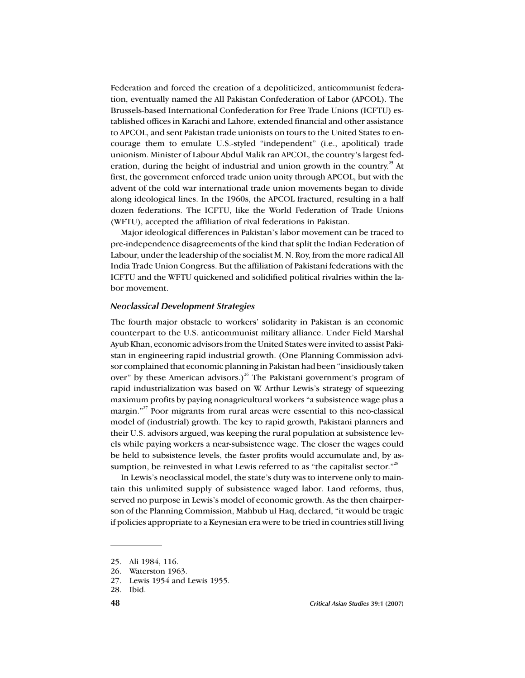Federation and forced the creation of a depoliticized, anticommunist federation, eventually named the All Pakistan Confederation of Labor (APCOL). The Brussels-based International Confederation for Free Trade Unions (ICFTU) established offices in Karachi and Lahore, extended financial and other assistance to APCOL, and sent Pakistan trade unionists on tours to the United States to encourage them to emulate U.S.-styled "independent" (i.e., apolitical) trade unionism. Minister of Labour Abdul Malik ran APCOL, the country's largest federation, during the height of industrial and union growth in the country.<sup>25</sup> At first, the government enforced trade union unity through APCOL, but with the advent of the cold war international trade union movements began to divide along ideological lines. In the 1960s, the APCOL fractured, resulting in a half dozen federations. The ICFTU, like the World Federation of Trade Unions (WFTU), accepted the affiliation of rival federations in Pakistan.

Major ideological differences in Pakistan's labor movement can be traced to pre-independence disagreements of the kind that split the Indian Federation of Labour, under the leadership of the socialist M. N. Roy, from the more radical All India Trade Union Congress. But the affiliation of Pakistani federations with the ICFTU and the WFTU quickened and solidified political rivalries within the labor movement.

#### *Neoclassical Development Strategies*

The fourth major obstacle to workers' solidarity in Pakistan is an economic counterpart to the U.S. anticommunist military alliance. Under Field Marshal Ayub Khan, economic advisors from the United States were invited to assist Pakistan in engineering rapid industrial growth. (One Planning Commission advisor complained that economic planning in Pakistan had been "insidiously taken over" by these American advisors.)<sup>26</sup> The Pakistani government's program of rapid industrialization was based on W. Arthur Lewis's strategy of squeezing maximum profits by paying nonagricultural workers "a subsistence wage plus a margin."<sup>27</sup> Poor migrants from rural areas were essential to this neo-classical model of (industrial) growth. The key to rapid growth, Pakistani planners and their U.S. advisors argued, was keeping the rural population at subsistence levels while paying workers a near-subsistence wage. The closer the wages could be held to subsistence levels, the faster profits would accumulate and, by assumption, be reinvested in what Lewis referred to as "the capitalist sector."<sup>28</sup>

In Lewis's neoclassical model, the state's duty was to intervene only to maintain this unlimited supply of subsistence waged labor. Land reforms, thus, served no purpose in Lewis's model of economic growth. As the then chairperson of the Planning Commission, Mahbub ul Haq, declared, "it would be tragic if policies appropriate to a Keynesian era were to be tried in countries still living

<sup>25.</sup> Ali 1984, 116.

<sup>26.</sup> Waterston 1963.

<sup>27.</sup> Lewis 1954 and Lewis 1955.

<sup>28.</sup> Ibid.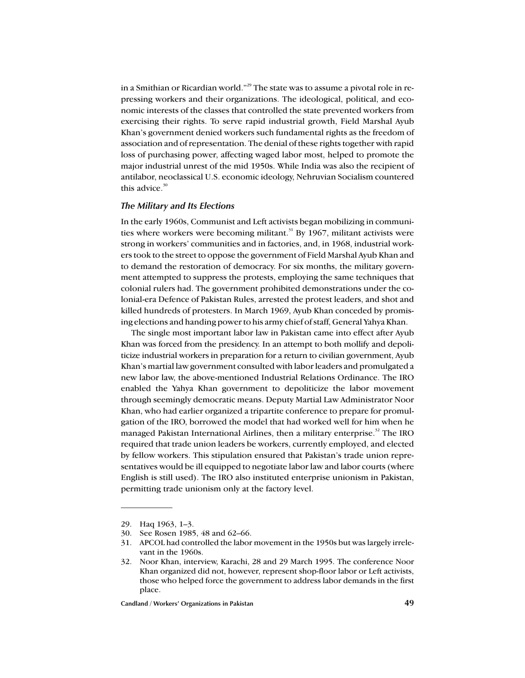in a Smithian or Ricardian world."<sup>29</sup> The state was to assume a pivotal role in repressing workers and their organizations. The ideological, political, and economic interests of the classes that controlled the state prevented workers from exercising their rights. To serve rapid industrial growth, Field Marshal Ayub Khan's government denied workers such fundamental rights as the freedom of association and of representation. The denial of these rights together with rapid loss of purchasing power, affecting waged labor most, helped to promote the major industrial unrest of the mid 1950s. While India was also the recipient of antilabor, neoclassical U.S. economic ideology, Nehruvian Socialism countered this advice. $30$ 

#### *The Military and Its Elections*

In the early 1960s, Communist and Left activists began mobilizing in communities where workers were becoming militant.<sup>31</sup> By 1967, militant activists were strong in workers' communities and in factories, and, in 1968, industrial workers took to the street to oppose the government of Field Marshal Ayub Khan and to demand the restoration of democracy. For six months, the military government attempted to suppress the protests, employing the same techniques that colonial rulers had. The government prohibited demonstrations under the colonial-era Defence of Pakistan Rules, arrested the protest leaders, and shot and killed hundreds of protesters. In March 1969, Ayub Khan conceded by promising elections and handing power to his army chief of staff, General Yahya Khan.

The single most important labor law in Pakistan came into effect after Ayub Khan was forced from the presidency. In an attempt to both mollify and depoliticize industrial workers in preparation for a return to civilian government, Ayub Khan's martial law government consulted with labor leaders and promulgated a new labor law, the above-mentioned Industrial Relations Ordinance. The IRO enabled the Yahya Khan government to depoliticize the labor movement through seemingly democratic means. Deputy Martial Law Administrator Noor Khan, who had earlier organized a tripartite conference to prepare for promulgation of the IRO, borrowed the model that had worked well for him when he managed Pakistan International Airlines, then a military enterprise.<sup>32</sup> The IRO required that trade union leaders be workers, currently employed, and elected by fellow workers. This stipulation ensured that Pakistan's trade union representatives would be ill equipped to negotiate labor law and labor courts (where English is still used). The IRO also instituted enterprise unionism in Pakistan, permitting trade unionism only at the factory level.

<sup>29.</sup> Haq 1963, 1–3.

<sup>30.</sup> See Rosen 1985, 48 and 62–66.

<sup>31.</sup> APCOL had controlled the labor movement in the 1950s but was largely irrelevant in the 1960s.

<sup>32.</sup> Noor Khan, interview, Karachi, 28 and 29 March 1995. The conference Noor Khan organized did not, however, represent shop-floor labor or Left activists, those who helped force the government to address labor demands in the first place.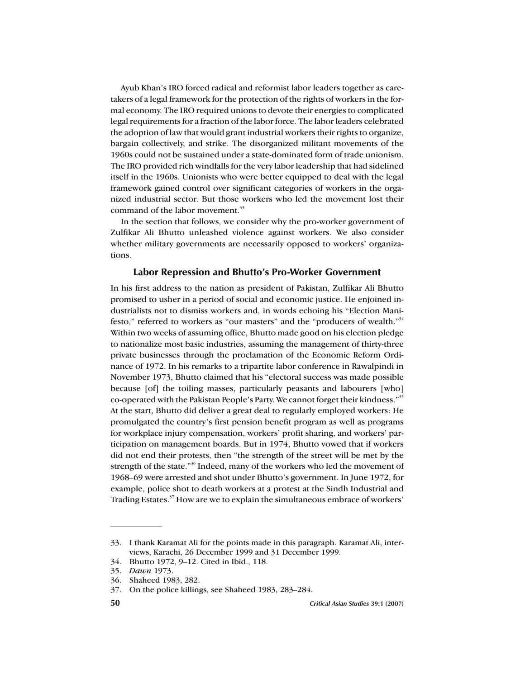Ayub Khan's IRO forced radical and reformist labor leaders together as caretakers of a legal framework for the protection of the rights of workers in the formal economy. The IRO required unions to devote their energies to complicated legal requirements for a fraction of the labor force. The labor leaders celebrated the adoption of law that would grant industrial workers their rights to organize, bargain collectively, and strike. The disorganized militant movements of the 1960s could not be sustained under a state-dominated form of trade unionism. The IRO provided rich windfalls for the very labor leadership that had sidelined itself in the 1960s. Unionists who were better equipped to deal with the legal framework gained control over significant categories of workers in the organized industrial sector. But those workers who led the movement lost their command of the labor movement.<sup>33</sup>

In the section that follows, we consider why the pro-worker government of Zulfikar Ali Bhutto unleashed violence against workers. We also consider whether military governments are necessarily opposed to workers' organizations.

#### Labor Repression and Bhutto's Pro-Worker Government

In his first address to the nation as president of Pakistan, Zulfikar Ali Bhutto promised to usher in a period of social and economic justice. He enjoined industrialists not to dismiss workers and, in words echoing his "Election Manifesto," referred to workers as "our masters" and the "producers of wealth."<sup>34</sup> Within two weeks of assuming office, Bhutto made good on his election pledge to nationalize most basic industries, assuming the management of thirty-three private businesses through the proclamation of the Economic Reform Ordinance of 1972. In his remarks to a tripartite labor conference in Rawalpindi in November 1973, Bhutto claimed that his "electoral success was made possible because [of] the toiling masses, particularly peasants and labourers [who] co-operated with the Pakistan People's Party. We cannot forget their kindness."<sup>35</sup> At the start, Bhutto did deliver a great deal to regularly employed workers: He promulgated the country's first pension benefit program as well as programs for workplace injury compensation, workers' profit sharing, and workers' participation on management boards. But in 1974, Bhutto vowed that if workers did not end their protests, then "the strength of the street will be met by the strength of the state."<sup>36</sup> Indeed, many of the workers who led the movement of 1968–69 were arrested and shot under Bhutto's government. In June 1972, for example, police shot to death workers at a protest at the Sindh Industrial and Trading Estates.<sup>37</sup> How are we to explain the simultaneous embrace of workers'

<sup>33.</sup> I thank Karamat Ali for the points made in this paragraph. Karamat Ali, interviews, Karachi, 26 December 1999 and 31 December 1999.

<sup>34.</sup> Bhutto 1972, 9–12. Cited in Ibid., 118.

<sup>35.</sup> *Dawn* 1973.

<sup>36.</sup> Shaheed 1983, 282.

<sup>37.</sup> On the police killings, see Shaheed 1983, 283–284.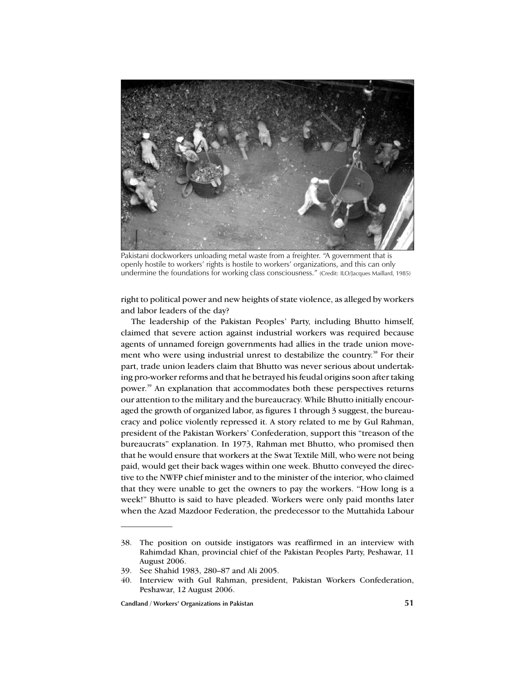

Pakistani dockworkers unloading metal waste from a freighter. "A government that is openly hostile to workers' rights is hostile to workers' organizations, and this can only undermine the foundations for working class consciousness." (Credit: ILO/Jacques Maillard, 1985)

right to political power and new heights of state violence, as alleged by workers and labor leaders of the day?

The leadership of the Pakistan Peoples' Party, including Bhutto himself, claimed that severe action against industrial workers was required because agents of unnamed foreign governments had allies in the trade union movement who were using industrial unrest to destabilize the country.<sup>38</sup> For their part, trade union leaders claim that Bhutto was never serious about undertaking pro-worker reforms and that he betrayed his feudal origins soon after taking power.<sup>39</sup> An explanation that accommodates both these perspectives returns our attention to the military and the bureaucracy. While Bhutto initially encouraged the growth of organized labor, as figures 1 through 3 suggest, the bureaucracy and police violently repressed it. A story related to me by Gul Rahman, president of the Pakistan Workers' Confederation, support this "treason of the bureaucrats" explanation. In 1973, Rahman met Bhutto, who promised then that he would ensure that workers at the Swat Textile Mill, who were not being paid, would get their back wages within one week. Bhutto conveyed the directive to the NWFP chief minister and to the minister of the interior, who claimed that they were unable to get the owners to pay the workers. "How long is a week!" Bhutto is said to have pleaded. Workers were only paid months later when the Azad Mazdoor Federation, the predecessor to the Muttahida Labour

<sup>38.</sup> The position on outside instigators was reaffirmed in an interview with Rahimdad Khan, provincial chief of the Pakistan Peoples Party, Peshawar, 11 August 2006.

<sup>39.</sup> See Shahid 1983, 280–87 and Ali 2005.

<sup>40.</sup> Interview with Gul Rahman, president, Pakistan Workers Confederation, Peshawar, 12 August 2006.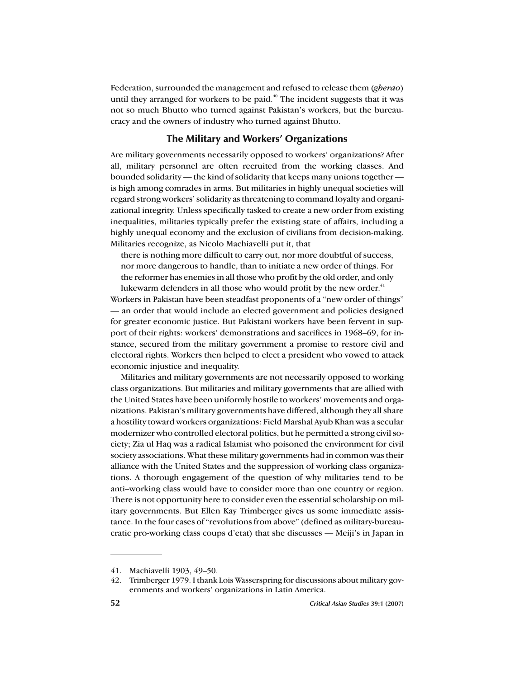Federation, surrounded the management and refused to release them (*gherao*) until they arranged for workers to be paid.<sup>40</sup> The incident suggests that it was not so much Bhutto who turned against Pakistan's workers, but the bureaucracy and the owners of industry who turned against Bhutto.

#### The Military and Workers' Organizations

Are military governments necessarily opposed to workers' organizations? After all, military personnel are often recruited from the working classes. And bounded solidarity — the kind of solidarity that keeps many unions together is high among comrades in arms. But militaries in highly unequal societies will regard strong workers' solidarity as threatening to command loyalty and organizational integrity. Unless specifically tasked to create a new order from existing inequalities, militaries typically prefer the existing state of affairs, including a highly unequal economy and the exclusion of civilians from decision-making. Militaries recognize, as Nicolo Machiavelli put it, that

there is nothing more difficult to carry out, nor more doubtful of success, nor more dangerous to handle, than to initiate a new order of things. For the reformer has enemies in all those who profit by the old order, and only lukewarm defenders in all those who would profit by the new order.<sup>41</sup>

Workers in Pakistan have been steadfast proponents of a "new order of things" — an order that would include an elected government and policies designed for greater economic justice. But Pakistani workers have been fervent in support of their rights: workers' demonstrations and sacrifices in 1968–69, for instance, secured from the military government a promise to restore civil and electoral rights. Workers then helped to elect a president who vowed to attack economic injustice and inequality.

Militaries and military governments are not necessarily opposed to working class organizations. But militaries and military governments that are allied with the United States have been uniformly hostile to workers' movements and organizations. Pakistan's military governments have differed, although they all share a hostility toward workers organizations: Field Marshal Ayub Khan was a secular modernizer who controlled electoral politics, but he permitted a strong civil society; Zia ul Haq was a radical Islamist who poisoned the environment for civil society associations. What these military governments had in common was their alliance with the United States and the suppression of working class organizations. A thorough engagement of the question of why militaries tend to be anti–working class would have to consider more than one country or region. There is not opportunity here to consider even the essential scholarship on military governments. But Ellen Kay Trimberger gives us some immediate assistance. In the four cases of "revolutions from above" (defined as military-bureaucratic pro-working class coups d'etat) that she discusses — Meiji's in Japan in

<sup>41.</sup> Machiavelli 1903, 49–50.

<sup>42.</sup> Trimberger 1979. I thank Lois Wasserspring for discussions about military governments and workers' organizations in Latin America.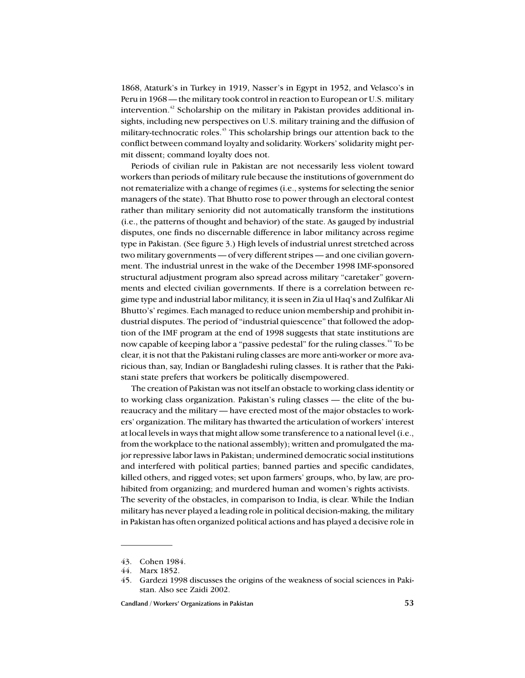1868, Ataturk's in Turkey in 1919, Nasser's in Egypt in 1952, and Velasco's in Peru in 1968 — the military took control in reaction to European or U.S. military intervention.<sup>42</sup> Scholarship on the military in Pakistan provides additional insights, including new perspectives on U.S. military training and the diffusion of military-technocratic roles.<sup>43</sup> This scholarship brings our attention back to the conflict between command loyalty and solidarity. Workers' solidarity might permit dissent; command loyalty does not.

Periods of civilian rule in Pakistan are not necessarily less violent toward workers than periods of military rule because the institutions of government do not rematerialize with a change of regimes (i.e., systems for selecting the senior managers of the state). That Bhutto rose to power through an electoral contest rather than military seniority did not automatically transform the institutions (i.e., the patterns of thought and behavior) of the state. As gauged by industrial disputes, one finds no discernable difference in labor militancy across regime type in Pakistan. (See figure 3.) High levels of industrial unrest stretched across two military governments — of very different stripes — and one civilian government. The industrial unrest in the wake of the December 1998 IMF-sponsored structural adjustment program also spread across military "caretaker" governments and elected civilian governments. If there is a correlation between regime type and industrial labor militancy, it is seen in Zia ul Haq's and Zulfikar Ali Bhutto's' regimes. Each managed to reduce union membership and prohibit industrial disputes. The period of "industrial quiescence" that followed the adoption of the IMF program at the end of 1998 suggests that state institutions are now capable of keeping labor a "passive pedestal" for the ruling classes.<sup>44</sup> To be clear, it is not that the Pakistani ruling classes are more anti-worker or more avaricious than, say, Indian or Bangladeshi ruling classes. It is rather that the Pakistani state prefers that workers be politically disempowered.

The creation of Pakistan was not itself an obstacle to working class identity or to working class organization. Pakistan's ruling classes — the elite of the bureaucracy and the military — have erected most of the major obstacles to workers' organization. The military has thwarted the articulation of workers' interest at local levels in ways that might allow some transference to a national level (i.e., from the workplace to the national assembly); written and promulgated the major repressive labor laws in Pakistan; undermined democratic social institutions and interfered with political parties; banned parties and specific candidates, killed others, and rigged votes; set upon farmers' groups, who, by law, are prohibited from organizing; and murdered human and women's rights activists. The severity of the obstacles, in comparison to India, is clear. While the Indian military has never played a leading role in political decision-making, the military in Pakistan has often organized political actions and has played a decisive role in

**Candland / Workers' Organizations in Pakistan 53**

<sup>43.</sup> Cohen 1984.

<sup>44.</sup> Marx 1852.

<sup>45.</sup> Gardezi 1998 discusses the origins of the weakness of social sciences in Pakistan. Also see Zaidi 2002.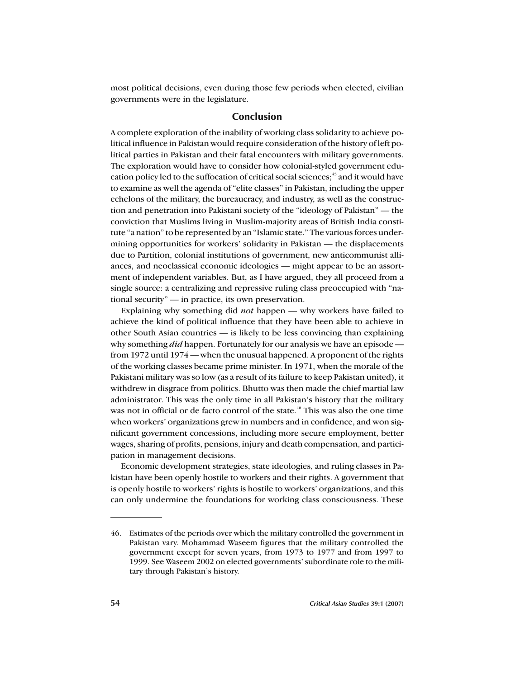most political decisions, even during those few periods when elected, civilian governments were in the legislature.

#### Conclusion

A complete exploration of the inability of working class solidarity to achieve political influence in Pakistan would require consideration of the history of left political parties in Pakistan and their fatal encounters with military governments. The exploration would have to consider how colonial-styled government education policy led to the suffocation of critical social sciences;<sup>45</sup> and it would have to examine as well the agenda of "elite classes" in Pakistan, including the upper echelons of the military, the bureaucracy, and industry, as well as the construction and penetration into Pakistani society of the "ideology of Pakistan" — the conviction that Muslims living in Muslim-majority areas of British India constitute "a nation" to be represented by an "Islamic state." The various forces undermining opportunities for workers' solidarity in Pakistan — the displacements due to Partition, colonial institutions of government, new anticommunist alliances, and neoclassical economic ideologies — might appear to be an assortment of independent variables. But, as I have argued, they all proceed from a single source: a centralizing and repressive ruling class preoccupied with "national security" — in practice, its own preservation.

Explaining why something did *not* happen — why workers have failed to achieve the kind of political influence that they have been able to achieve in other South Asian countries — is likely to be less convincing than explaining why something *did* happen. Fortunately for our analysis we have an episode from 1972 until 1974 — when the unusual happened. A proponent of the rights of the working classes became prime minister. In 1971, when the morale of the Pakistani military was so low (as a result of its failure to keep Pakistan united), it withdrew in disgrace from politics. Bhutto was then made the chief martial law administrator. This was the only time in all Pakistan's history that the military was not in official or de facto control of the state.<sup>46</sup> This was also the one time when workers' organizations grew in numbers and in confidence, and won significant government concessions, including more secure employment, better wages, sharing of profits, pensions, injury and death compensation, and participation in management decisions.

Economic development strategies, state ideologies, and ruling classes in Pakistan have been openly hostile to workers and their rights. A government that is openly hostile to workers' rights is hostile to workers' organizations, and this can only undermine the foundations for working class consciousness. These

<sup>46.</sup> Estimates of the periods over which the military controlled the government in Pakistan vary. Mohammad Waseem figures that the military controlled the government except for seven years, from 1973 to 1977 and from 1997 to 1999. See Waseem 2002 on elected governments' subordinate role to the military through Pakistan's history.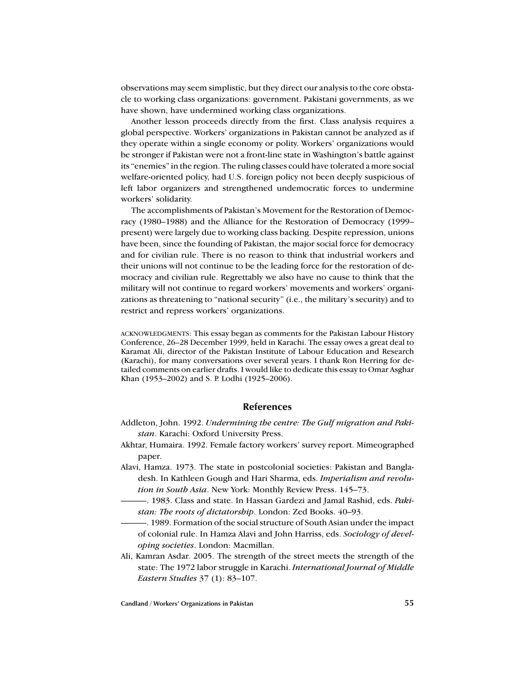observations may seem simplistic, but they direct our analysis to the core obstacle to working class organizations: government. Pakistani governments, as we have shown, have undermined working class organizations.

Another lesson proceeds directly from the first. Class analysis requires a global perspective. Workers' organizations in Pakistan cannot be analyzed as if they operate within a single economy or polity. Workers' organizations would be stronger if Pakistan were not a front-line state in Washington's battle against its "enemies" in the region. The ruling classes could have tolerated a more social welfare-oriented policy, had U.S. foreign policy not been deeply suspicious of left labor organizers and strengthened undemocratic forces to undermine workers' solidarity.

The accomplishments of Pakistan's Movement for the Restoration of Democracy (1980–1988) and the Alliance for the Restoration of Democracy (1999– present) were largely due to working class backing. Despite repression, unions have been, since the founding of Pakistan, the major social force for democracy and for civilian rule. There is no reason to think that industrial workers and their unions will not continue to be the leading force for the restoration of democracy and civilian rule. Regrettably we also have no cause to think that the military will not continue to regard workers' movements and workers' organizations as threatening to "national security" (i.e., the military's security) and to restrict and repress workers' organizations.

ACKNOWLEDGMENTS: This essay began as comments for the Pakistan Labour History Conference, 26–28 December 1999, held in Karachi. The essay owes a great deal to Karamat Ali, director of the Pakistan Institute of Labour Education and Research (Karachi), for many conversations over several years. I thank Ron Herring for detailed comments on earlier drafts. I would like to dedicate this essay to Omar Asghar Khan (1953–2002) and S. P. Lodhi (1925–2006).

#### References

- Addleton, John. 1992. *Undermining the centre: The Gulf migration and Pakistan*. Karachi: Oxford University Press.
- Akhtar, Humaira. 1992. Female factory workers' survey report. Mimeographed paper.
- Alavi, Hamza. 1973. The state in postcolonial societies: Pakistan and Bangladesh. In Kathleen Gough and Hari Sharma, eds. *Imperialism and revolution in South Asia*. New York: Monthly Review Press. 145–73.
- ———. 1983. Class and state. In Hassan Gardezi and Jamal Rashid, eds. *Pakistan: The roots of dictatorship*. London: Zed Books. 40–93.
- ———. 1989. Formation of the social structure of South Asian under the impact of colonial rule. In Hamza Alavi and John Harriss, eds. *Sociology of developing societies*. London: Macmillan.
- Ali, Kamran Asdar. 2005. The strength of the street meets the strength of the state: The 1972 labor struggle in Karachi. *International Journal of Middle Eastern Studies* 37 (1): 83–107.

**Candland / Workers' Organizations in Pakistan 55**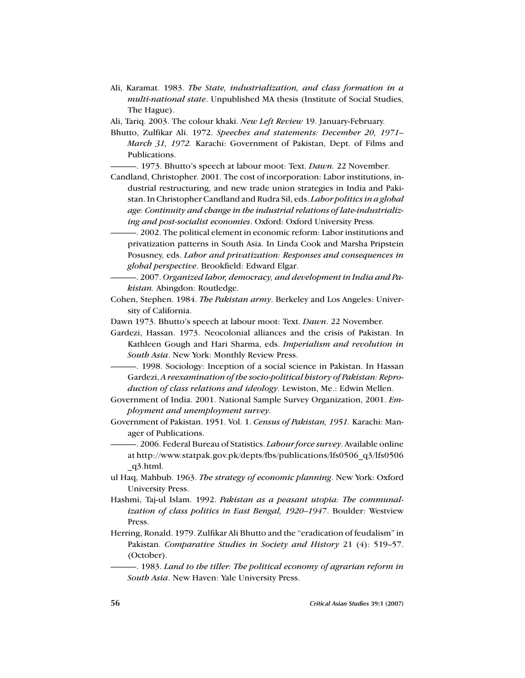- Ali, Karamat. 1983. *The State, industrialization, and class formation in a multi-national state*. Unpublished MA thesis (Institute of Social Studies, The Hague).
- Ali, Tariq. 2003. The colour khaki. *New Left Review* 19. January-February.
- Bhutto, Zulfikar Ali. 1972. *Speeches and statements: December 20, 1971– March 31, 1972.* Karachi: Government of Pakistan, Dept. of Films and Publications.

———. 1973. Bhutto's speech at labour moot: Text. *Dawn.* 22 November.

- Candland, Christopher. 2001. The cost of incorporation: Labor institutions, industrial restructuring, and new trade union strategies in India and Pakistan. In Christopher Candland and Rudra Sil, eds. *Labor politics in a global age: Continuity and change in the industrial relations of late-industrializing and post-socialist economies*. Oxford: Oxford University Press.
	- ———. 2002. The political element in economic reform: Labor institutions and privatization patterns in South Asia. In Linda Cook and Marsha Pripstein Posusney, eds. *Labor and privatization: Responses and consequences in global perspective*. Brookfield: Edward Elgar.
	- ———. 2007. *Organized labor, democracy, and development in India and Pakistan.* Abingdon: Routledge.
- Cohen, Stephen. 1984. *The Pakistan army*. Berkeley and Los Angeles: University of California.
- Dawn 1973. Bhutto's speech at labour moot: Text. *Dawn*. 22 November.
- Gardezi, Hassan. 1973. Neocolonial alliances and the crisis of Pakistan. In Kathleen Gough and Hari Sharma, eds. *Imperialism and revolution in South Asia*. New York: Monthly Review Press.
	- ———. 1998. Sociology: Inception of a social science in Pakistan. In Hassan Gardezi, *A reexamination of the socio-political history of Pakistan: Reproduction of class relations and ideology*. Lewiston, Me.: Edwin Mellen.
- Government of India. 2001. National Sample Survey Organization, 2001. *Employment and unemployment survey*.
- Government of Pakistan. 1951. Vol. 1. *Census of Pakistan, 1951.* Karachi: Manager of Publications.

———. 2006. Federal Bureau of Statistics. *Labour force survey*. Available online at http://www.statpak.gov.pk/depts/fbs/publications/lfs0506\_q3/lfs0506  $q3.html$ .

- ul Haq, Mahbub. 1963. *The strategy of economic planning*. New York: Oxford University Press.
- Hashmi, Taj-ul Islam. 1992. *Pakistan as a peasant utopia: The communalization of class politics in East Bengal, 1920–1947*. Boulder: Westview Press.
- Herring, Ronald. 1979. Zulfikar Ali Bhutto and the "eradication of feudalism" in Pakistan. *Comparative Studies in Society and History* 21 (4): 519–57. (October).

———. 1983. *Land to the tiller: The political economy of agrarian reform in South Asia*. New Haven: Yale University Press.